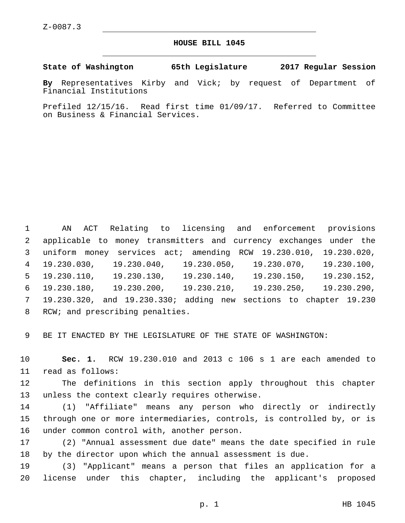## **HOUSE BILL 1045**

**State of Washington 65th Legislature 2017 Regular Session**

**By** Representatives Kirby and Vick; by request of Department of Financial Institutions

Prefiled 12/15/16. Read first time 01/09/17. Referred to Committee on Business & Financial Services.

 AN ACT Relating to licensing and enforcement provisions applicable to money transmitters and currency exchanges under the uniform money services act; amending RCW 19.230.010, 19.230.020, 19.230.030, 19.230.040, 19.230.050, 19.230.070, 19.230.100, 19.230.110, 19.230.130, 19.230.140, 19.230.150, 19.230.152, 19.230.180, 19.230.200, 19.230.210, 19.230.250, 19.230.290, 19.230.320, and 19.230.330; adding new sections to chapter 19.230 8 RCW; and prescribing penalties.

9 BE IT ENACTED BY THE LEGISLATURE OF THE STATE OF WASHINGTON:

10 **Sec. 1.** RCW 19.230.010 and 2013 c 106 s 1 are each amended to 11 read as follows:

12 The definitions in this section apply throughout this chapter 13 unless the context clearly requires otherwise.

14 (1) "Affiliate" means any person who directly or indirectly 15 through one or more intermediaries, controls, is controlled by, or is 16 under common control with, another person.

17 (2) "Annual assessment due date" means the date specified in rule 18 by the director upon which the annual assessment is due.

19 (3) "Applicant" means a person that files an application for a 20 license under this chapter, including the applicant's proposed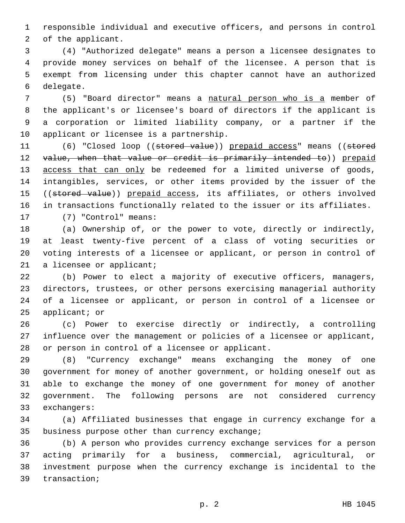responsible individual and executive officers, and persons in control 2 of the applicant.

 (4) "Authorized delegate" means a person a licensee designates to provide money services on behalf of the licensee. A person that is exempt from licensing under this chapter cannot have an authorized 6 delegate.

 (5) "Board director" means a natural person who is a member of the applicant's or licensee's board of directors if the applicant is a corporation or limited liability company, or a partner if the 10 applicant or licensee is a partnership.

11 (6) "Closed loop ((stored value)) prepaid access" means ((stored 12 value, when that value or credit is primarily intended to)) prepaid 13 access that can only be redeemed for a limited universe of goods, intangibles, services, or other items provided by the issuer of the 15 ((stored value)) prepaid access, its affiliates, or others involved in transactions functionally related to the issuer or its affiliates. 17 (7) "Control" means:

 (a) Ownership of, or the power to vote, directly or indirectly, at least twenty-five percent of a class of voting securities or voting interests of a licensee or applicant, or person in control of 21 a licensee or applicant;

 (b) Power to elect a majority of executive officers, managers, directors, trustees, or other persons exercising managerial authority of a licensee or applicant, or person in control of a licensee or applicant; or

 (c) Power to exercise directly or indirectly, a controlling influence over the management or policies of a licensee or applicant, 28 or person in control of a licensee or applicant.

 (8) "Currency exchange" means exchanging the money of one government for money of another government, or holding oneself out as able to exchange the money of one government for money of another government. The following persons are not considered currency 33 exchangers:

 (a) Affiliated businesses that engage in currency exchange for a 35 business purpose other than currency exchange;

 (b) A person who provides currency exchange services for a person acting primarily for a business, commercial, agricultural, or investment purpose when the currency exchange is incidental to the 39 transaction;

p. 2 HB 1045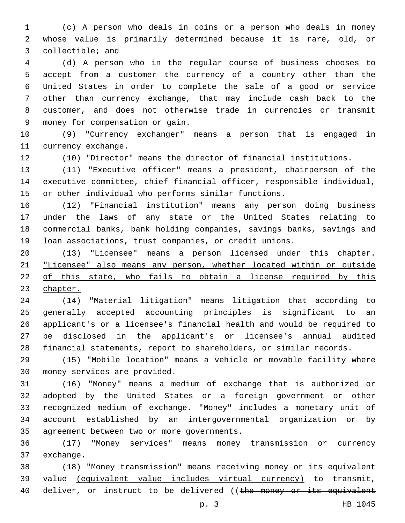(c) A person who deals in coins or a person who deals in money whose value is primarily determined because it is rare, old, or 3 collectible; and

 (d) A person who in the regular course of business chooses to accept from a customer the currency of a country other than the United States in order to complete the sale of a good or service other than currency exchange, that may include cash back to the customer, and does not otherwise trade in currencies or transmit money for compensation or gain.9

 (9) "Currency exchanger" means a person that is engaged in 11 currency exchange.

(10) "Director" means the director of financial institutions.

 (11) "Executive officer" means a president, chairperson of the executive committee, chief financial officer, responsible individual, or other individual who performs similar functions.

 (12) "Financial institution" means any person doing business under the laws of any state or the United States relating to commercial banks, bank holding companies, savings banks, savings and loan associations, trust companies, or credit unions.

 (13) "Licensee" means a person licensed under this chapter. "Licensee" also means any person, whether located within or outside of this state, who fails to obtain a license required by this chapter.

 (14) "Material litigation" means litigation that according to generally accepted accounting principles is significant to an applicant's or a licensee's financial health and would be required to be disclosed in the applicant's or licensee's annual audited financial statements, report to shareholders, or similar records.

 (15) "Mobile location" means a vehicle or movable facility where 30 money services are provided.

 (16) "Money" means a medium of exchange that is authorized or adopted by the United States or a foreign government or other recognized medium of exchange. "Money" includes a monetary unit of account established by an intergovernmental organization or by 35 agreement between two or more governments.

 (17) "Money services" means money transmission or currency 37 exchange.

 (18) "Money transmission" means receiving money or its equivalent value (equivalent value includes virtual currency) to transmit, 40 deliver, or instruct to be delivered ((the money or its equivalent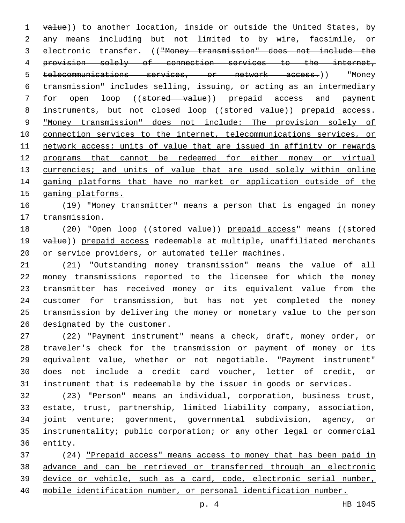1 value)) to another location, inside or outside the United States, by any means including but not limited to by wire, facsimile, or electronic transfer. (("Money transmission" does not include the provision solely of connection services to the internet, telecommunications services, or network access.)) "Money transmission" includes selling, issuing, or acting as an intermediary 7 for open loop ((stored value)) prepaid access and payment 8 instruments, but not closed loop ((stored value)) prepaid access. "Money transmission" does not include: The provision solely of connection services to the internet, telecommunications services, or network access; units of value that are issued in affinity or rewards programs that cannot be redeemed for either money or virtual 13 currencies; and units of value that are used solely within online gaming platforms that have no market or application outside of the gaming platforms.

 (19) "Money transmitter" means a person that is engaged in money 17 transmission.

18 (20) "Open loop ((stored value)) prepaid access" means ((stored 19 value)) prepaid access redeemable at multiple, unaffiliated merchants or service providers, or automated teller machines.

 (21) "Outstanding money transmission" means the value of all money transmissions reported to the licensee for which the money transmitter has received money or its equivalent value from the customer for transmission, but has not yet completed the money transmission by delivering the money or monetary value to the person 26 designated by the customer.

 (22) "Payment instrument" means a check, draft, money order, or traveler's check for the transmission or payment of money or its equivalent value, whether or not negotiable. "Payment instrument" does not include a credit card voucher, letter of credit, or instrument that is redeemable by the issuer in goods or services.

 (23) "Person" means an individual, corporation, business trust, estate, trust, partnership, limited liability company, association, joint venture; government, governmental subdivision, agency, or instrumentality; public corporation; or any other legal or commercial 36 entity.

 (24) "Prepaid access" means access to money that has been paid in advance and can be retrieved or transferred through an electronic device or vehicle, such as a card, code, electronic serial number, mobile identification number, or personal identification number.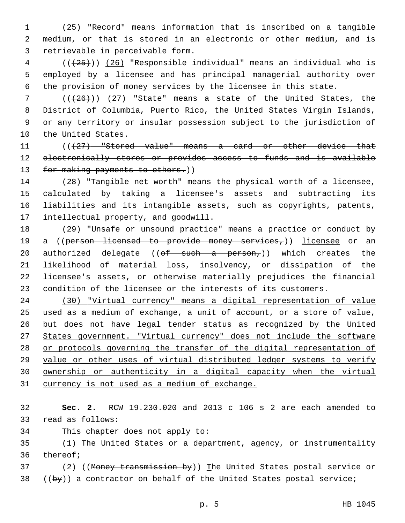(25) "Record" means information that is inscribed on a tangible medium, or that is stored in an electronic or other medium, and is 3 retrievable in perceivable form.

 ( $(\overline{25})$ ) (26) "Responsible individual" means an individual who is employed by a licensee and has principal managerial authority over the provision of money services by the licensee in this state.

 $((+26))$  (27) "State" means a state of the United States, the District of Columbia, Puerto Rico, the United States Virgin Islands, or any territory or insular possession subject to the jurisdiction of 10 the United States.

11 (((427) "Stored value" means a card or other device that 12 electronically stores or provides access to funds and is available 13 for making payments to others.))

 (28) "Tangible net worth" means the physical worth of a licensee, calculated by taking a licensee's assets and subtracting its liabilities and its intangible assets, such as copyrights, patents, 17 intellectual property, and goodwill.

 (29) "Unsafe or unsound practice" means a practice or conduct by 19 a ((person licensed to provide money services,)) licensee or an 20 authorized delegate (( $\theta f$  such a person,)) which creates the likelihood of material loss, insolvency, or dissipation of the licensee's assets, or otherwise materially prejudices the financial condition of the licensee or the interests of its customers.

 (30) "Virtual currency" means a digital representation of value used as a medium of exchange, a unit of account, or a store of value, but does not have legal tender status as recognized by the United States government. "Virtual currency" does not include the software or protocols governing the transfer of the digital representation of value or other uses of virtual distributed ledger systems to verify ownership or authenticity in a digital capacity when the virtual 31 currency is not used as a medium of exchange.

 **Sec. 2.** RCW 19.230.020 and 2013 c 106 s 2 are each amended to 33 read as follows:

34 This chapter does not apply to:

 (1) The United States or a department, agency, or instrumentality 36 thereof;

37 (2) ((Money transmission by)) The United States postal service or ((by)) a contractor on behalf of the United States postal service;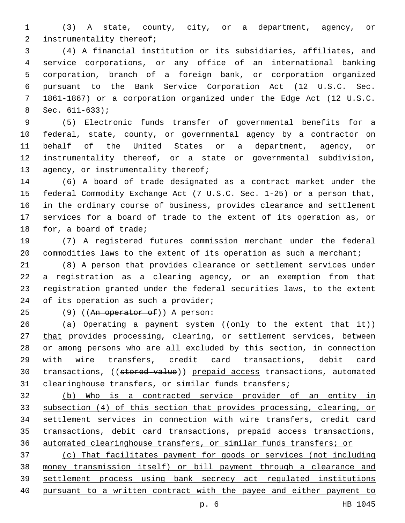(3) A state, county, city, or a department, agency, or 2 instrumentality thereof;

 (4) A financial institution or its subsidiaries, affiliates, and service corporations, or any office of an international banking corporation, branch of a foreign bank, or corporation organized pursuant to the Bank Service Corporation Act (12 U.S.C. Sec. 1861-1867) or a corporation organized under the Edge Act (12 U.S.C. Sec.  $611-633$ ;

 (5) Electronic funds transfer of governmental benefits for a federal, state, county, or governmental agency by a contractor on behalf of the United States or a department, agency, or instrumentality thereof, or a state or governmental subdivision, 13 agency, or instrumentality thereof;

 (6) A board of trade designated as a contract market under the federal Commodity Exchange Act (7 U.S.C. Sec. 1-25) or a person that, in the ordinary course of business, provides clearance and settlement services for a board of trade to the extent of its operation as, or 18 for, a board of trade;

 (7) A registered futures commission merchant under the federal 20 commodities laws to the extent of its operation as such a merchant;

 (8) A person that provides clearance or settlement services under a registration as a clearing agency, or an exemption from that registration granted under the federal securities laws, to the extent 24 of its operation as such a provider;

25 (9) ((An operator of)) A person:

26 (a) Operating a payment system ((only to the extent that it)) 27 that provides processing, clearing, or settlement services, between or among persons who are all excluded by this section, in connection with wire transfers, credit card transactions, debit card 30 transactions, ((stored-value)) prepaid access transactions, automated clearinghouse transfers, or similar funds transfers;

 (b) Who is a contracted service provider of an entity in subsection (4) of this section that provides processing, clearing, or settlement services in connection with wire transfers, credit card transactions, debit card transactions, prepaid access transactions, automated clearinghouse transfers, or similar funds transfers; or

 (c) That facilitates payment for goods or services (not including money transmission itself) or bill payment through a clearance and settlement process using bank secrecy act regulated institutions pursuant to a written contract with the payee and either payment to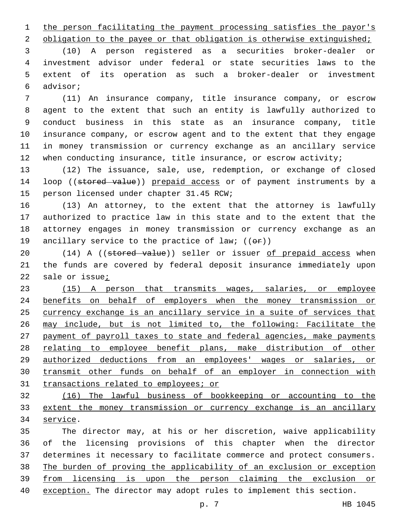1 the person facilitating the payment processing satisfies the payor's

2 obligation to the payee or that obligation is otherwise extinguished;

 (10) A person registered as a securities broker-dealer or investment advisor under federal or state securities laws to the extent of its operation as such a broker-dealer or investment advisor;6

 (11) An insurance company, title insurance company, or escrow agent to the extent that such an entity is lawfully authorized to conduct business in this state as an insurance company, title insurance company, or escrow agent and to the extent that they engage in money transmission or currency exchange as an ancillary service 12 when conducting insurance, title insurance, or escrow activity;

 (12) The issuance, sale, use, redemption, or exchange of closed 14 loop ((stored value)) prepaid access or of payment instruments by a 15 person licensed under chapter 31.45 RCW;

 (13) An attorney, to the extent that the attorney is lawfully authorized to practice law in this state and to the extent that the attorney engages in money transmission or currency exchange as an 19 ancillary service to the practice of law;  $((\theta \cdot \hat{r}))$ 

20 (14) A ((stored value)) seller or issuer of prepaid access when the funds are covered by federal deposit insurance immediately upon sale or issue;

 (15) A person that transmits wages, salaries, or employee benefits on behalf of employers when the money transmission or currency exchange is an ancillary service in a suite of services that may include, but is not limited to, the following: Facilitate the payment of payroll taxes to state and federal agencies, make payments relating to employee benefit plans, make distribution of other authorized deductions from an employees' wages or salaries, or transmit other funds on behalf of an employer in connection with 31 transactions related to employees; or

 (16) The lawful business of bookkeeping or accounting to the extent the money transmission or currency exchange is an ancillary 34 service.

 The director may, at his or her discretion, waive applicability of the licensing provisions of this chapter when the director determines it necessary to facilitate commerce and protect consumers. The burden of proving the applicability of an exclusion or exception from licensing is upon the person claiming the exclusion or exception. The director may adopt rules to implement this section.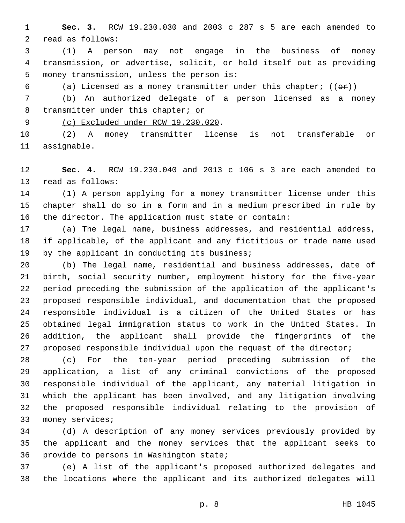**Sec. 3.** RCW 19.230.030 and 2003 c 287 s 5 are each amended to 2 read as follows:

 (1) A person may not engage in the business of money transmission, or advertise, solicit, or hold itself out as providing 5 money transmission, unless the person is:

6 (a) Licensed as a money transmitter under this chapter;  $((\theta \cdot \hat{r}))$ 

 (b) An authorized delegate of a person licensed as a money 8 transmitter under this chapter; or

9 (c) Excluded under RCW 19.230.020.

 (2) A money transmitter license is not transferable or 11 assignable.

 **Sec. 4.** RCW 19.230.040 and 2013 c 106 s 3 are each amended to 13 read as follows:

 (1) A person applying for a money transmitter license under this chapter shall do so in a form and in a medium prescribed in rule by the director. The application must state or contain:

 (a) The legal name, business addresses, and residential address, if applicable, of the applicant and any fictitious or trade name used 19 by the applicant in conducting its business;

 (b) The legal name, residential and business addresses, date of birth, social security number, employment history for the five-year period preceding the submission of the application of the applicant's proposed responsible individual, and documentation that the proposed responsible individual is a citizen of the United States or has obtained legal immigration status to work in the United States. In addition, the applicant shall provide the fingerprints of the 27 proposed responsible individual upon the request of the director;

 (c) For the ten-year period preceding submission of the application, a list of any criminal convictions of the proposed responsible individual of the applicant, any material litigation in which the applicant has been involved, and any litigation involving the proposed responsible individual relating to the provision of 33 money services;

 (d) A description of any money services previously provided by the applicant and the money services that the applicant seeks to 36 provide to persons in Washington state;

 (e) A list of the applicant's proposed authorized delegates and the locations where the applicant and its authorized delegates will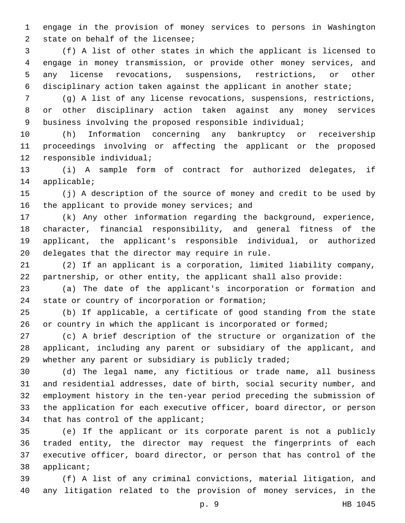engage in the provision of money services to persons in Washington 2 state on behalf of the licensee;

 (f) A list of other states in which the applicant is licensed to engage in money transmission, or provide other money services, and any license revocations, suspensions, restrictions, or other disciplinary action taken against the applicant in another state;

 (g) A list of any license revocations, suspensions, restrictions, or other disciplinary action taken against any money services business involving the proposed responsible individual;

 (h) Information concerning any bankruptcy or receivership proceedings involving or affecting the applicant or the proposed 12 responsible individual;

 (i) A sample form of contract for authorized delegates, if 14 applicable;

 (j) A description of the source of money and credit to be used by 16 the applicant to provide money services; and

 (k) Any other information regarding the background, experience, character, financial responsibility, and general fitness of the applicant, the applicant's responsible individual, or authorized 20 delegates that the director may require in rule.

 (2) If an applicant is a corporation, limited liability company, partnership, or other entity, the applicant shall also provide:

 (a) The date of the applicant's incorporation or formation and 24 state or country of incorporation or formation;

 (b) If applicable, a certificate of good standing from the state 26 or country in which the applicant is incorporated or formed;

 (c) A brief description of the structure or organization of the applicant, including any parent or subsidiary of the applicant, and 29 whether any parent or subsidiary is publicly traded;

 (d) The legal name, any fictitious or trade name, all business and residential addresses, date of birth, social security number, and employment history in the ten-year period preceding the submission of the application for each executive officer, board director, or person 34 that has control of the applicant;

 (e) If the applicant or its corporate parent is not a publicly traded entity, the director may request the fingerprints of each executive officer, board director, or person that has control of the 38 applicant;

 (f) A list of any criminal convictions, material litigation, and any litigation related to the provision of money services, in the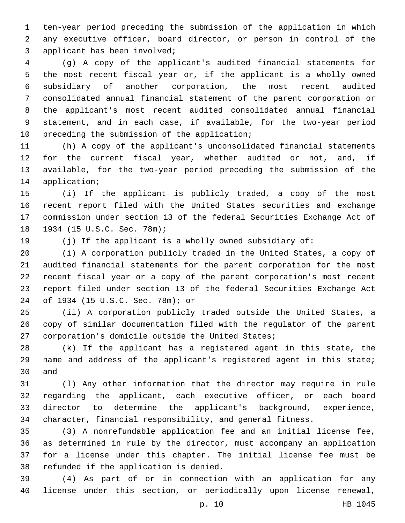ten-year period preceding the submission of the application in which any executive officer, board director, or person in control of the 3 applicant has been involved;

 (g) A copy of the applicant's audited financial statements for the most recent fiscal year or, if the applicant is a wholly owned subsidiary of another corporation, the most recent audited consolidated annual financial statement of the parent corporation or the applicant's most recent audited consolidated annual financial statement, and in each case, if available, for the two-year period 10 preceding the submission of the application;

 (h) A copy of the applicant's unconsolidated financial statements for the current fiscal year, whether audited or not, and, if available, for the two-year period preceding the submission of the 14 application;

 (i) If the applicant is publicly traded, a copy of the most recent report filed with the United States securities and exchange commission under section 13 of the federal Securities Exchange Act of 18 1934 (15 U.S.C. Sec. 78m);

(j) If the applicant is a wholly owned subsidiary of:

 (i) A corporation publicly traded in the United States, a copy of audited financial statements for the parent corporation for the most recent fiscal year or a copy of the parent corporation's most recent report filed under section 13 of the federal Securities Exchange Act of 1934 (15 U.S.C. Sec. 78m); or24

 (ii) A corporation publicly traded outside the United States, a copy of similar documentation filed with the regulator of the parent 27 corporation's domicile outside the United States;

 (k) If the applicant has a registered agent in this state, the name and address of the applicant's registered agent in this state; 30 and

 (l) Any other information that the director may require in rule regarding the applicant, each executive officer, or each board director to determine the applicant's background, experience, character, financial responsibility, and general fitness.

 (3) A nonrefundable application fee and an initial license fee, as determined in rule by the director, must accompany an application for a license under this chapter. The initial license fee must be 38 refunded if the application is denied.

 (4) As part of or in connection with an application for any license under this section, or periodically upon license renewal,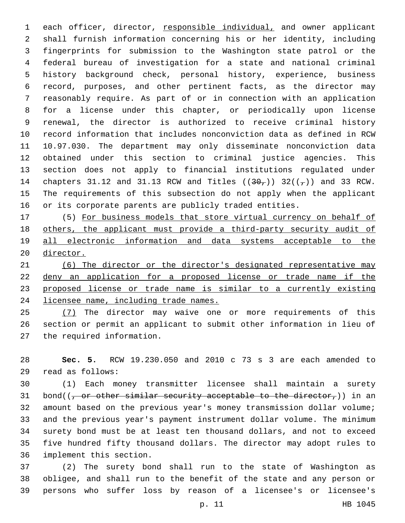each officer, director, responsible individual, and owner applicant shall furnish information concerning his or her identity, including fingerprints for submission to the Washington state patrol or the federal bureau of investigation for a state and national criminal history background check, personal history, experience, business record, purposes, and other pertinent facts, as the director may reasonably require. As part of or in connection with an application for a license under this chapter, or periodically upon license renewal, the director is authorized to receive criminal history record information that includes nonconviction data as defined in RCW 10.97.030. The department may only disseminate nonconviction data obtained under this section to criminal justice agencies. This section does not apply to financial institutions regulated under 14 chapters 31.12 and 31.13 RCW and Titles  $((30<sub>7</sub>))$  32( $(\frac{1}{7})$ ) and 33 RCW. The requirements of this subsection do not apply when the applicant or its corporate parents are publicly traded entities.

 (5) For business models that store virtual currency on behalf of others, the applicant must provide a third-party security audit of all electronic information and data systems acceptable to the director.

 (6) The director or the director's designated representative may deny an application for a proposed license or trade name if the proposed license or trade name is similar to a currently existing licensee name, including trade names.

25 (7) The director may waive one or more requirements of this section or permit an applicant to submit other information in lieu of 27 the required information.

 **Sec. 5.** RCW 19.230.050 and 2010 c 73 s 3 are each amended to read as follows:29

 (1) Each money transmitter licensee shall maintain a surety 31 bond( $(-$  or other similar security acceptable to the director,)) in an amount based on the previous year's money transmission dollar volume; and the previous year's payment instrument dollar volume. The minimum surety bond must be at least ten thousand dollars, and not to exceed five hundred fifty thousand dollars. The director may adopt rules to 36 implement this section.

 (2) The surety bond shall run to the state of Washington as obligee, and shall run to the benefit of the state and any person or persons who suffer loss by reason of a licensee's or licensee's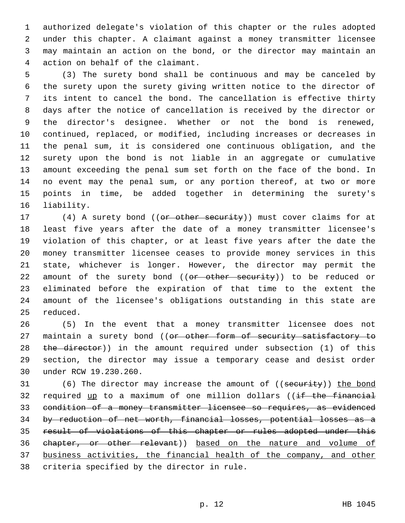authorized delegate's violation of this chapter or the rules adopted under this chapter. A claimant against a money transmitter licensee may maintain an action on the bond, or the director may maintain an 4 action on behalf of the claimant.

 (3) The surety bond shall be continuous and may be canceled by the surety upon the surety giving written notice to the director of its intent to cancel the bond. The cancellation is effective thirty days after the notice of cancellation is received by the director or the director's designee. Whether or not the bond is renewed, continued, replaced, or modified, including increases or decreases in the penal sum, it is considered one continuous obligation, and the surety upon the bond is not liable in an aggregate or cumulative amount exceeding the penal sum set forth on the face of the bond. In no event may the penal sum, or any portion thereof, at two or more points in time, be added together in determining the surety's 16 liability.

17 (4) A surety bond ((or other security)) must cover claims for at least five years after the date of a money transmitter licensee's violation of this chapter, or at least five years after the date the money transmitter licensee ceases to provide money services in this state, whichever is longer. However, the director may permit the 22 amount of the surety bond ((or other security)) to be reduced or eliminated before the expiration of that time to the extent the amount of the licensee's obligations outstanding in this state are 25 reduced.

 (5) In the event that a money transmitter licensee does not 27 maintain a surety bond ((or other form of security satisfactory to 28 the director)) in the amount required under subsection (1) of this section, the director may issue a temporary cease and desist order 30 under RCW 19.230.260.

31 (6) The director may increase the amount of ((security)) the bond 32 required up to a maximum of one million dollars ((if the financial condition of a money transmitter licensee so requires, as evidenced by reduction of net worth, financial losses, potential losses as a result of violations of this chapter or rules adopted under this chapter, or other relevant)) based on the nature and volume of business activities, the financial health of the company, and other 38 criteria specified by the director in rule.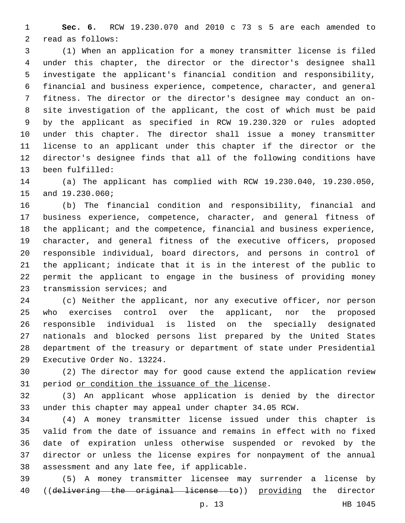**Sec. 6.** RCW 19.230.070 and 2010 c 73 s 5 are each amended to 2 read as follows:

 (1) When an application for a money transmitter license is filed under this chapter, the director or the director's designee shall investigate the applicant's financial condition and responsibility, financial and business experience, competence, character, and general fitness. The director or the director's designee may conduct an on- site investigation of the applicant, the cost of which must be paid by the applicant as specified in RCW 19.230.320 or rules adopted under this chapter. The director shall issue a money transmitter license to an applicant under this chapter if the director or the director's designee finds that all of the following conditions have 13 been fulfilled:

 (a) The applicant has complied with RCW 19.230.040, 19.230.050, 15 and 19.230.060;

 (b) The financial condition and responsibility, financial and business experience, competence, character, and general fitness of 18 the applicant; and the competence, financial and business experience, character, and general fitness of the executive officers, proposed responsible individual, board directors, and persons in control of the applicant; indicate that it is in the interest of the public to permit the applicant to engage in the business of providing money 23 transmission services; and

 (c) Neither the applicant, nor any executive officer, nor person who exercises control over the applicant, nor the proposed responsible individual is listed on the specially designated nationals and blocked persons list prepared by the United States department of the treasury or department of state under Presidential 29 Executive Order No. 13224.

 (2) The director may for good cause extend the application review 31 period or condition the issuance of the license.

 (3) An applicant whose application is denied by the director under this chapter may appeal under chapter 34.05 RCW.

 (4) A money transmitter license issued under this chapter is valid from the date of issuance and remains in effect with no fixed date of expiration unless otherwise suspended or revoked by the director or unless the license expires for nonpayment of the annual 38 assessment and any late fee, if applicable.

 (5) A money transmitter licensee may surrender a license by 40 ((delivering the original license to)) providing the director

p. 13 HB 1045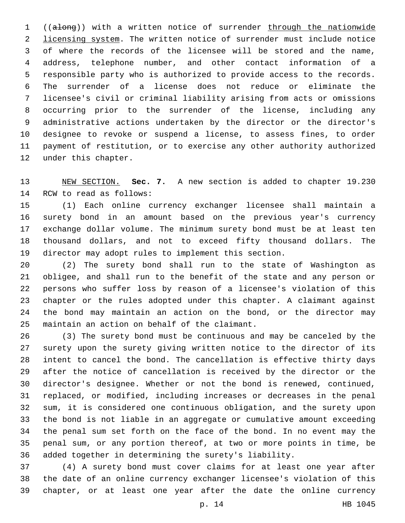((along)) with a written notice of surrender through the nationwide 2 licensing system. The written notice of surrender must include notice of where the records of the licensee will be stored and the name, address, telephone number, and other contact information of a responsible party who is authorized to provide access to the records. The surrender of a license does not reduce or eliminate the licensee's civil or criminal liability arising from acts or omissions occurring prior to the surrender of the license, including any administrative actions undertaken by the director or the director's designee to revoke or suspend a license, to assess fines, to order payment of restitution, or to exercise any other authority authorized 12 under this chapter.

 NEW SECTION. **Sec. 7.** A new section is added to chapter 19.230 14 RCW to read as follows:

 (1) Each online currency exchanger licensee shall maintain a surety bond in an amount based on the previous year's currency exchange dollar volume. The minimum surety bond must be at least ten thousand dollars, and not to exceed fifty thousand dollars. The director may adopt rules to implement this section.

 (2) The surety bond shall run to the state of Washington as obligee, and shall run to the benefit of the state and any person or persons who suffer loss by reason of a licensee's violation of this chapter or the rules adopted under this chapter. A claimant against the bond may maintain an action on the bond, or the director may 25 maintain an action on behalf of the claimant.

 (3) The surety bond must be continuous and may be canceled by the surety upon the surety giving written notice to the director of its intent to cancel the bond. The cancellation is effective thirty days after the notice of cancellation is received by the director or the director's designee. Whether or not the bond is renewed, continued, replaced, or modified, including increases or decreases in the penal sum, it is considered one continuous obligation, and the surety upon the bond is not liable in an aggregate or cumulative amount exceeding the penal sum set forth on the face of the bond. In no event may the penal sum, or any portion thereof, at two or more points in time, be added together in determining the surety's liability.

 (4) A surety bond must cover claims for at least one year after the date of an online currency exchanger licensee's violation of this chapter, or at least one year after the date the online currency

p. 14 HB 1045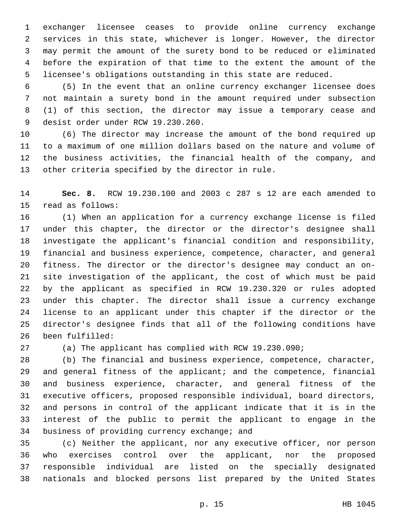exchanger licensee ceases to provide online currency exchange services in this state, whichever is longer. However, the director may permit the amount of the surety bond to be reduced or eliminated before the expiration of that time to the extent the amount of the licensee's obligations outstanding in this state are reduced.

 (5) In the event that an online currency exchanger licensee does not maintain a surety bond in the amount required under subsection (1) of this section, the director may issue a temporary cease and 9 desist order under RCW 19.230.260.

 (6) The director may increase the amount of the bond required up to a maximum of one million dollars based on the nature and volume of the business activities, the financial health of the company, and 13 other criteria specified by the director in rule.

 **Sec. 8.** RCW 19.230.100 and 2003 c 287 s 12 are each amended to 15 read as follows:

 (1) When an application for a currency exchange license is filed under this chapter, the director or the director's designee shall investigate the applicant's financial condition and responsibility, financial and business experience, competence, character, and general fitness. The director or the director's designee may conduct an on- site investigation of the applicant, the cost of which must be paid by the applicant as specified in RCW 19.230.320 or rules adopted under this chapter. The director shall issue a currency exchange license to an applicant under this chapter if the director or the director's designee finds that all of the following conditions have 26 been fulfilled:

(a) The applicant has complied with RCW 19.230.090;

 (b) The financial and business experience, competence, character, and general fitness of the applicant; and the competence, financial and business experience, character, and general fitness of the executive officers, proposed responsible individual, board directors, and persons in control of the applicant indicate that it is in the interest of the public to permit the applicant to engage in the 34 business of providing currency exchange; and

 (c) Neither the applicant, nor any executive officer, nor person who exercises control over the applicant, nor the proposed responsible individual are listed on the specially designated nationals and blocked persons list prepared by the United States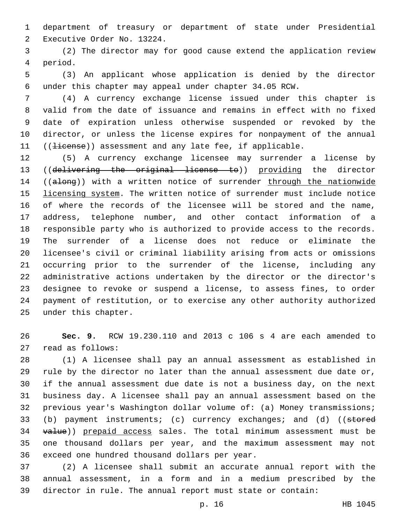department of treasury or department of state under Presidential 2 Executive Order No. 13224.

 (2) The director may for good cause extend the application review 4 period.

 (3) An applicant whose application is denied by the director under this chapter may appeal under chapter 34.05 RCW.

 (4) A currency exchange license issued under this chapter is valid from the date of issuance and remains in effect with no fixed date of expiration unless otherwise suspended or revoked by the director, or unless the license expires for nonpayment of the annual 11 ((Hicense)) assessment and any late fee, if applicable.

 (5) A currency exchange licensee may surrender a license by ((delivering the original license to)) providing the director 14 ((along)) with a written notice of surrender through the nationwide licensing system. The written notice of surrender must include notice of where the records of the licensee will be stored and the name, address, telephone number, and other contact information of a responsible party who is authorized to provide access to the records. The surrender of a license does not reduce or eliminate the licensee's civil or criminal liability arising from acts or omissions occurring prior to the surrender of the license, including any administrative actions undertaken by the director or the director's designee to revoke or suspend a license, to assess fines, to order payment of restitution, or to exercise any other authority authorized 25 under this chapter.

 **Sec. 9.** RCW 19.230.110 and 2013 c 106 s 4 are each amended to 27 read as follows:

 (1) A licensee shall pay an annual assessment as established in rule by the director no later than the annual assessment due date or, if the annual assessment due date is not a business day, on the next business day. A licensee shall pay an annual assessment based on the previous year's Washington dollar volume of: (a) Money transmissions; 33 (b) payment instruments; (c) currency exchanges; and (d) ((stored 34 value)) prepaid access sales. The total minimum assessment must be one thousand dollars per year, and the maximum assessment may not 36 exceed one hundred thousand dollars per year.

 (2) A licensee shall submit an accurate annual report with the annual assessment, in a form and in a medium prescribed by the director in rule. The annual report must state or contain: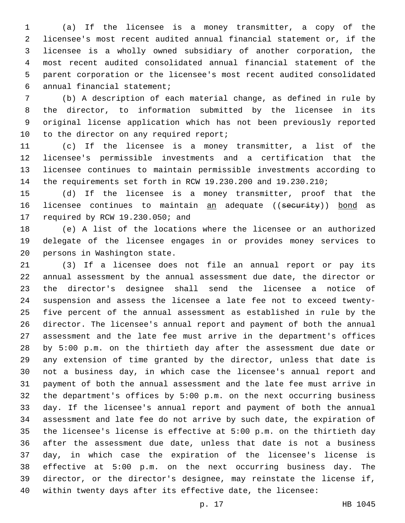(a) If the licensee is a money transmitter, a copy of the licensee's most recent audited annual financial statement or, if the licensee is a wholly owned subsidiary of another corporation, the most recent audited consolidated annual financial statement of the parent corporation or the licensee's most recent audited consolidated annual financial statement;6

 (b) A description of each material change, as defined in rule by the director, to information submitted by the licensee in its original license application which has not been previously reported 10 to the director on any required report;

 (c) If the licensee is a money transmitter, a list of the licensee's permissible investments and a certification that the licensee continues to maintain permissible investments according to the requirements set forth in RCW 19.230.200 and 19.230.210;

 (d) If the licensee is a money transmitter, proof that the 16 licensee continues to maintain an adequate ((security)) bond as 17 required by RCW 19.230.050; and

 (e) A list of the locations where the licensee or an authorized delegate of the licensee engages in or provides money services to 20 persons in Washington state.

 (3) If a licensee does not file an annual report or pay its annual assessment by the annual assessment due date, the director or the director's designee shall send the licensee a notice of suspension and assess the licensee a late fee not to exceed twenty- five percent of the annual assessment as established in rule by the director. The licensee's annual report and payment of both the annual assessment and the late fee must arrive in the department's offices by 5:00 p.m. on the thirtieth day after the assessment due date or any extension of time granted by the director, unless that date is not a business day, in which case the licensee's annual report and payment of both the annual assessment and the late fee must arrive in the department's offices by 5:00 p.m. on the next occurring business day. If the licensee's annual report and payment of both the annual assessment and late fee do not arrive by such date, the expiration of the licensee's license is effective at 5:00 p.m. on the thirtieth day after the assessment due date, unless that date is not a business day, in which case the expiration of the licensee's license is effective at 5:00 p.m. on the next occurring business day. The director, or the director's designee, may reinstate the license if, within twenty days after its effective date, the licensee:

p. 17 HB 1045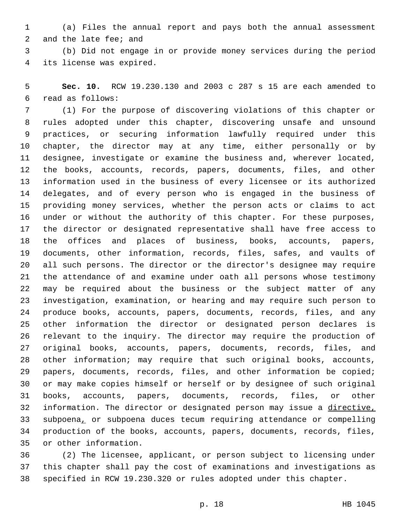(a) Files the annual report and pays both the annual assessment 2 and the late fee; and

 (b) Did not engage in or provide money services during the period 4 its license was expired.

 **Sec. 10.** RCW 19.230.130 and 2003 c 287 s 15 are each amended to read as follows:6

 (1) For the purpose of discovering violations of this chapter or rules adopted under this chapter, discovering unsafe and unsound practices, or securing information lawfully required under this chapter, the director may at any time, either personally or by designee, investigate or examine the business and, wherever located, the books, accounts, records, papers, documents, files, and other information used in the business of every licensee or its authorized delegates, and of every person who is engaged in the business of providing money services, whether the person acts or claims to act under or without the authority of this chapter. For these purposes, the director or designated representative shall have free access to the offices and places of business, books, accounts, papers, documents, other information, records, files, safes, and vaults of all such persons. The director or the director's designee may require the attendance of and examine under oath all persons whose testimony may be required about the business or the subject matter of any investigation, examination, or hearing and may require such person to produce books, accounts, papers, documents, records, files, and any other information the director or designated person declares is relevant to the inquiry. The director may require the production of original books, accounts, papers, documents, records, files, and other information; may require that such original books, accounts, papers, documents, records, files, and other information be copied; or may make copies himself or herself or by designee of such original books, accounts, papers, documents, records, files, or other information. The director or designated person may issue a directive, subpoena, or subpoena duces tecum requiring attendance or compelling production of the books, accounts, papers, documents, records, files, 35 or other information.

 (2) The licensee, applicant, or person subject to licensing under this chapter shall pay the cost of examinations and investigations as specified in RCW 19.230.320 or rules adopted under this chapter.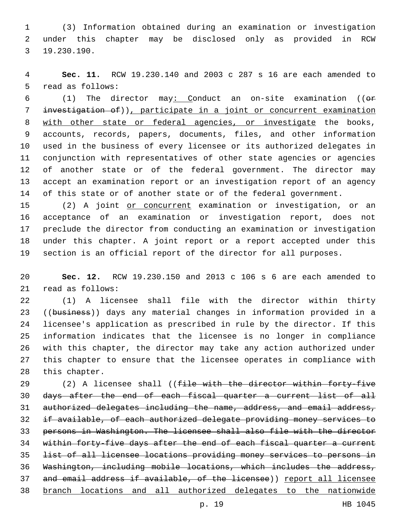(3) Information obtained during an examination or investigation under this chapter may be disclosed only as provided in RCW 19.230.190.3

 **Sec. 11.** RCW 19.230.140 and 2003 c 287 s 16 are each amended to 5 read as follows:

 (1) The director may: Conduct an on-site examination ((or investigation of)), participate in a joint or concurrent examination with other state or federal agencies, or investigate the books, accounts, records, papers, documents, files, and other information used in the business of every licensee or its authorized delegates in conjunction with representatives of other state agencies or agencies of another state or of the federal government. The director may accept an examination report or an investigation report of an agency of this state or of another state or of the federal government.

15 (2) A joint or concurrent examination or investigation, or an acceptance of an examination or investigation report, does not preclude the director from conducting an examination or investigation under this chapter. A joint report or a report accepted under this section is an official report of the director for all purposes.

 **Sec. 12.** RCW 19.230.150 and 2013 c 106 s 6 are each amended to 21 read as follows:

 (1) A licensee shall file with the director within thirty 23 ((business)) days any material changes in information provided in a licensee's application as prescribed in rule by the director. If this information indicates that the licensee is no longer in compliance with this chapter, the director may take any action authorized under this chapter to ensure that the licensee operates in compliance with 28 this chapter.

29 (2) A licensee shall ((file with the director within forty-five days after the end of each fiscal quarter a current list of all authorized delegates including the name, address, and email address, if available, of each authorized delegate providing money services to persons in Washington. The licensee shall also file with the director 34 within forty-five days after the end of each fiscal quarter a current list of all licensee locations providing money services to persons in Washington, including mobile locations, which includes the address, 37 and email address if available, of the licensee)) report all licensee branch locations and all authorized delegates to the nationwide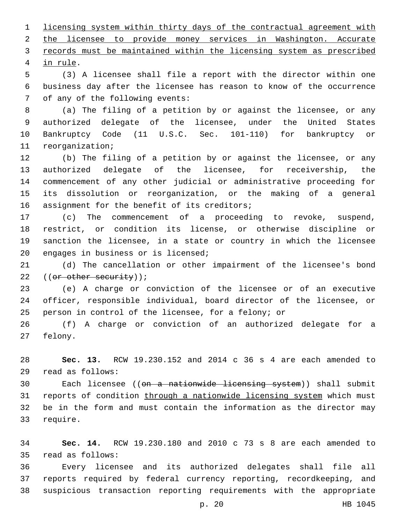licensing system within thirty days of the contractual agreement with the licensee to provide money services in Washington. Accurate records must be maintained within the licensing system as prescribed 4 in rule.

 (3) A licensee shall file a report with the director within one business day after the licensee has reason to know of the occurrence 7 of any of the following events:

 (a) The filing of a petition by or against the licensee, or any authorized delegate of the licensee, under the United States Bankruptcy Code (11 U.S.C. Sec. 101-110) for bankruptcy or 11 reorganization;

 (b) The filing of a petition by or against the licensee, or any authorized delegate of the licensee, for receivership, the commencement of any other judicial or administrative proceeding for its dissolution or reorganization, or the making of a general 16 assignment for the benefit of its creditors;

 (c) The commencement of a proceeding to revoke, suspend, restrict, or condition its license, or otherwise discipline or sanction the licensee, in a state or country in which the licensee 20 engages in business or is licensed;

 (d) The cancellation or other impairment of the licensee's bond 22 ((or other security));

 (e) A charge or conviction of the licensee or of an executive officer, responsible individual, board director of the licensee, or person in control of the licensee, for a felony; or

 (f) A charge or conviction of an authorized delegate for a 27 felony.

 **Sec. 13.** RCW 19.230.152 and 2014 c 36 s 4 are each amended to read as follows:29

30 Each licensee ((<del>on a nationwide licensing system</del>)) shall submit 31 reports of condition through a nationwide licensing system which must be in the form and must contain the information as the director may 33 require.

 **Sec. 14.** RCW 19.230.180 and 2010 c 73 s 8 are each amended to read as follows:35

 Every licensee and its authorized delegates shall file all reports required by federal currency reporting, recordkeeping, and suspicious transaction reporting requirements with the appropriate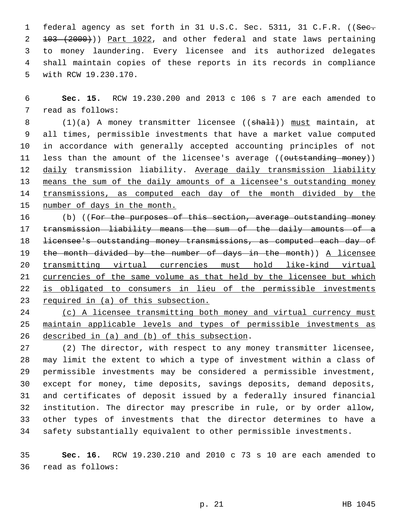1 federal agency as set forth in 31 U.S.C. Sec. 5311, 31 C.F.R. ((See. 103 (2000))) Part 1022, and other federal and state laws pertaining to money laundering. Every licensee and its authorized delegates shall maintain copies of these reports in its records in compliance 5 with RCW 19.230.170.

 **Sec. 15.** RCW 19.230.200 and 2013 c 106 s 7 are each amended to 7 read as follows:

8 (1)(a) A money transmitter licensee ((shall)) must maintain, at all times, permissible investments that have a market value computed in accordance with generally accepted accounting principles of not 11 less than the amount of the licensee's average ((outstanding money)) 12 daily transmission liability. Average daily transmission liability means the sum of the daily amounts of a licensee's outstanding money transmissions, as computed each day of the month divided by the number of days in the month.

16 (b) ((For the purposes of this section, average outstanding money transmission liability means the sum of the daily amounts of a licensee's outstanding money transmissions, as computed each day of the month divided by the number of days in the month)) A licensee transmitting virtual currencies must hold like-kind virtual currencies of the same volume as that held by the licensee but which is obligated to consumers in lieu of the permissible investments required in (a) of this subsection.

24 (c) A licensee transmitting both money and virtual currency must maintain applicable levels and types of permissible investments as 26 described in (a) and (b) of this subsection.

 (2) The director, with respect to any money transmitter licensee, may limit the extent to which a type of investment within a class of permissible investments may be considered a permissible investment, except for money, time deposits, savings deposits, demand deposits, and certificates of deposit issued by a federally insured financial institution. The director may prescribe in rule, or by order allow, other types of investments that the director determines to have a safety substantially equivalent to other permissible investments.

 **Sec. 16.** RCW 19.230.210 and 2010 c 73 s 10 are each amended to read as follows:36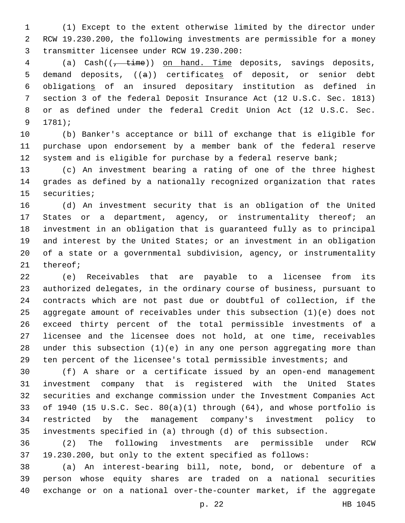(1) Except to the extent otherwise limited by the director under RCW 19.230.200, the following investments are permissible for a money 3 transmitter licensee under RCW 19.230.200:

4 (a) Cash(( $\frac{1}{t + \text{time}}$ ) on hand. Time deposits, savings deposits, demand deposits, ((a)) certificates of deposit, or senior debt obligations of an insured depositary institution as defined in section 3 of the federal Deposit Insurance Act (12 U.S.C. Sec. 1813) or as defined under the federal Credit Union Act (12 U.S.C. Sec. 9 1781);

 (b) Banker's acceptance or bill of exchange that is eligible for purchase upon endorsement by a member bank of the federal reserve 12 system and is eligible for purchase by a federal reserve bank;

 (c) An investment bearing a rating of one of the three highest grades as defined by a nationally recognized organization that rates 15 securities;

 (d) An investment security that is an obligation of the United 17 States or a department, agency, or instrumentality thereof; an investment in an obligation that is guaranteed fully as to principal and interest by the United States; or an investment in an obligation of a state or a governmental subdivision, agency, or instrumentality 21 thereof;

 (e) Receivables that are payable to a licensee from its authorized delegates, in the ordinary course of business, pursuant to contracts which are not past due or doubtful of collection, if the aggregate amount of receivables under this subsection (1)(e) does not exceed thirty percent of the total permissible investments of a licensee and the licensee does not hold, at one time, receivables under this subsection (1)(e) in any one person aggregating more than ten percent of the licensee's total permissible investments; and

 (f) A share or a certificate issued by an open-end management investment company that is registered with the United States securities and exchange commission under the Investment Companies Act of 1940 (15 U.S.C. Sec. 80(a)(1) through (64), and whose portfolio is restricted by the management company's investment policy to investments specified in (a) through (d) of this subsection.

 (2) The following investments are permissible under RCW 19.230.200, but only to the extent specified as follows:

 (a) An interest-bearing bill, note, bond, or debenture of a person whose equity shares are traded on a national securities exchange or on a national over-the-counter market, if the aggregate

p. 22 HB 1045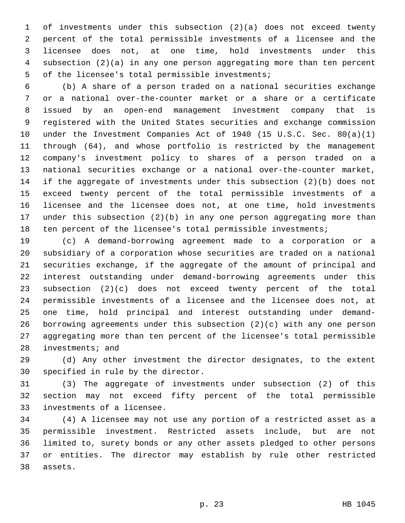of investments under this subsection (2)(a) does not exceed twenty percent of the total permissible investments of a licensee and the licensee does not, at one time, hold investments under this subsection (2)(a) in any one person aggregating more than ten percent 5 of the licensee's total permissible investments;

 (b) A share of a person traded on a national securities exchange or a national over-the-counter market or a share or a certificate issued by an open-end management investment company that is registered with the United States securities and exchange commission under the Investment Companies Act of 1940 (15 U.S.C. Sec. 80(a)(1) through (64), and whose portfolio is restricted by the management company's investment policy to shares of a person traded on a national securities exchange or a national over-the-counter market, if the aggregate of investments under this subsection (2)(b) does not exceed twenty percent of the total permissible investments of a licensee and the licensee does not, at one time, hold investments under this subsection (2)(b) in any one person aggregating more than ten percent of the licensee's total permissible investments;

 (c) A demand-borrowing agreement made to a corporation or a subsidiary of a corporation whose securities are traded on a national securities exchange, if the aggregate of the amount of principal and interest outstanding under demand-borrowing agreements under this subsection (2)(c) does not exceed twenty percent of the total permissible investments of a licensee and the licensee does not, at one time, hold principal and interest outstanding under demand- borrowing agreements under this subsection (2)(c) with any one person aggregating more than ten percent of the licensee's total permissible 28 investments; and

 (d) Any other investment the director designates, to the extent 30 specified in rule by the director.

 (3) The aggregate of investments under subsection (2) of this section may not exceed fifty percent of the total permissible 33 investments of a licensee.

 (4) A licensee may not use any portion of a restricted asset as a permissible investment. Restricted assets include, but are not limited to, surety bonds or any other assets pledged to other persons or entities. The director may establish by rule other restricted 38 assets.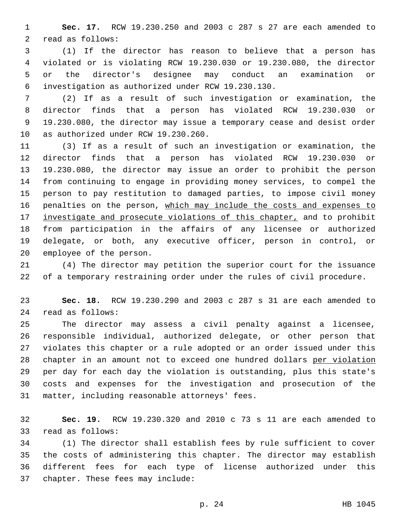**Sec. 17.** RCW 19.230.250 and 2003 c 287 s 27 are each amended to 2 read as follows:

 (1) If the director has reason to believe that a person has violated or is violating RCW 19.230.030 or 19.230.080, the director or the director's designee may conduct an examination or investigation as authorized under RCW 19.230.130.6

 (2) If as a result of such investigation or examination, the director finds that a person has violated RCW 19.230.030 or 19.230.080, the director may issue a temporary cease and desist order 10 as authorized under RCW 19.230.260.

 (3) If as a result of such an investigation or examination, the director finds that a person has violated RCW 19.230.030 or 19.230.080, the director may issue an order to prohibit the person from continuing to engage in providing money services, to compel the person to pay restitution to damaged parties, to impose civil money 16 penalties on the person, which may include the costs and expenses to 17 investigate and prosecute violations of this chapter, and to prohibit from participation in the affairs of any licensee or authorized delegate, or both, any executive officer, person in control, or 20 employee of the person.

 (4) The director may petition the superior court for the issuance of a temporary restraining order under the rules of civil procedure.

 **Sec. 18.** RCW 19.230.290 and 2003 c 287 s 31 are each amended to read as follows:24

 The director may assess a civil penalty against a licensee, responsible individual, authorized delegate, or other person that violates this chapter or a rule adopted or an order issued under this chapter in an amount not to exceed one hundred dollars per violation per day for each day the violation is outstanding, plus this state's costs and expenses for the investigation and prosecution of the 31 matter, including reasonable attorneys' fees.

 **Sec. 19.** RCW 19.230.320 and 2010 c 73 s 11 are each amended to 33 read as follows:

 (1) The director shall establish fees by rule sufficient to cover the costs of administering this chapter. The director may establish different fees for each type of license authorized under this 37 chapter. These fees may include: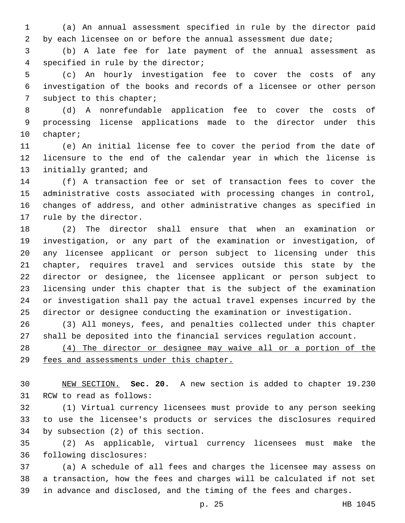(a) An annual assessment specified in rule by the director paid 2 by each licensee on or before the annual assessment due date;

 (b) A late fee for late payment of the annual assessment as 4 specified in rule by the director;

 (c) An hourly investigation fee to cover the costs of any investigation of the books and records of a licensee or other person 7 subject to this chapter;

 (d) A nonrefundable application fee to cover the costs of processing license applications made to the director under this 10 chapter;

 (e) An initial license fee to cover the period from the date of licensure to the end of the calendar year in which the license is 13 initially granted; and

 (f) A transaction fee or set of transaction fees to cover the administrative costs associated with processing changes in control, changes of address, and other administrative changes as specified in 17 rule by the director.

 (2) The director shall ensure that when an examination or investigation, or any part of the examination or investigation, of any licensee applicant or person subject to licensing under this chapter, requires travel and services outside this state by the director or designee, the licensee applicant or person subject to licensing under this chapter that is the subject of the examination or investigation shall pay the actual travel expenses incurred by the director or designee conducting the examination or investigation.

 (3) All moneys, fees, and penalties collected under this chapter shall be deposited into the financial services regulation account.

 (4) The director or designee may waive all or a portion of the fees and assessments under this chapter.

 NEW SECTION. **Sec. 20.** A new section is added to chapter 19.230 31 RCW to read as follows:

 (1) Virtual currency licensees must provide to any person seeking to use the licensee's products or services the disclosures required 34 by subsection (2) of this section.

 (2) As applicable, virtual currency licensees must make the 36 following disclosures:

 (a) A schedule of all fees and charges the licensee may assess on a transaction, how the fees and charges will be calculated if not set in advance and disclosed, and the timing of the fees and charges.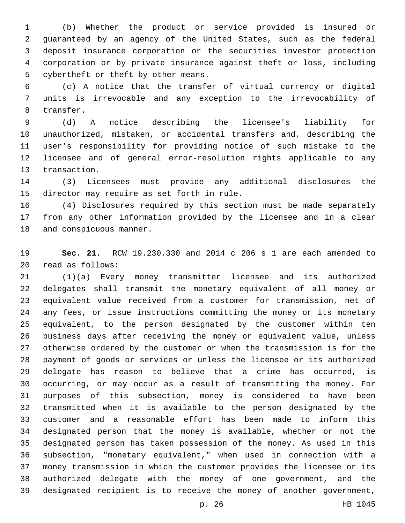(b) Whether the product or service provided is insured or guaranteed by an agency of the United States, such as the federal deposit insurance corporation or the securities investor protection corporation or by private insurance against theft or loss, including 5 cybertheft or theft by other means.

 (c) A notice that the transfer of virtual currency or digital units is irrevocable and any exception to the irrevocability of 8 transfer.

 (d) A notice describing the licensee's liability for unauthorized, mistaken, or accidental transfers and, describing the user's responsibility for providing notice of such mistake to the licensee and of general error-resolution rights applicable to any 13 transaction.

 (3) Licensees must provide any additional disclosures the 15 director may require as set forth in rule.

 (4) Disclosures required by this section must be made separately from any other information provided by the licensee and in a clear 18 and conspicuous manner.

 **Sec. 21.** RCW 19.230.330 and 2014 c 206 s 1 are each amended to read as follows:20

 (1)(a) Every money transmitter licensee and its authorized delegates shall transmit the monetary equivalent of all money or equivalent value received from a customer for transmission, net of any fees, or issue instructions committing the money or its monetary equivalent, to the person designated by the customer within ten business days after receiving the money or equivalent value, unless otherwise ordered by the customer or when the transmission is for the payment of goods or services or unless the licensee or its authorized delegate has reason to believe that a crime has occurred, is occurring, or may occur as a result of transmitting the money. For purposes of this subsection, money is considered to have been transmitted when it is available to the person designated by the customer and a reasonable effort has been made to inform this designated person that the money is available, whether or not the designated person has taken possession of the money. As used in this subsection, "monetary equivalent," when used in connection with a money transmission in which the customer provides the licensee or its authorized delegate with the money of one government, and the designated recipient is to receive the money of another government,

p. 26 HB 1045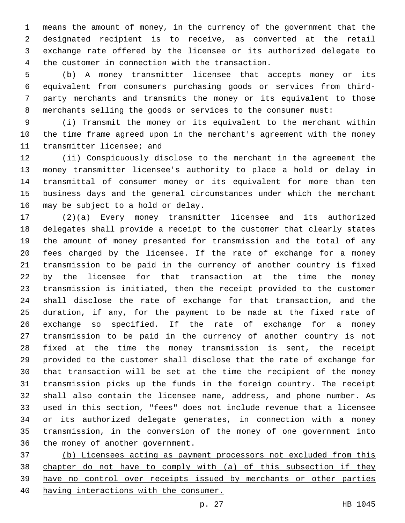means the amount of money, in the currency of the government that the designated recipient is to receive, as converted at the retail exchange rate offered by the licensee or its authorized delegate to 4 the customer in connection with the transaction.

 (b) A money transmitter licensee that accepts money or its equivalent from consumers purchasing goods or services from third- party merchants and transmits the money or its equivalent to those merchants selling the goods or services to the consumer must:

 (i) Transmit the money or its equivalent to the merchant within the time frame agreed upon in the merchant's agreement with the money 11 transmitter licensee; and

 (ii) Conspicuously disclose to the merchant in the agreement the money transmitter licensee's authority to place a hold or delay in transmittal of consumer money or its equivalent for more than ten business days and the general circumstances under which the merchant 16 may be subject to a hold or delay.

 (2)(a) Every money transmitter licensee and its authorized delegates shall provide a receipt to the customer that clearly states the amount of money presented for transmission and the total of any fees charged by the licensee. If the rate of exchange for a money transmission to be paid in the currency of another country is fixed by the licensee for that transaction at the time the money transmission is initiated, then the receipt provided to the customer shall disclose the rate of exchange for that transaction, and the duration, if any, for the payment to be made at the fixed rate of exchange so specified. If the rate of exchange for a money transmission to be paid in the currency of another country is not fixed at the time the money transmission is sent, the receipt provided to the customer shall disclose that the rate of exchange for that transaction will be set at the time the recipient of the money transmission picks up the funds in the foreign country. The receipt shall also contain the licensee name, address, and phone number. As used in this section, "fees" does not include revenue that a licensee or its authorized delegate generates, in connection with a money transmission, in the conversion of the money of one government into 36 the money of another government.

 (b) Licensees acting as payment processors not excluded from this chapter do not have to comply with (a) of this subsection if they have no control over receipts issued by merchants or other parties having interactions with the consumer.